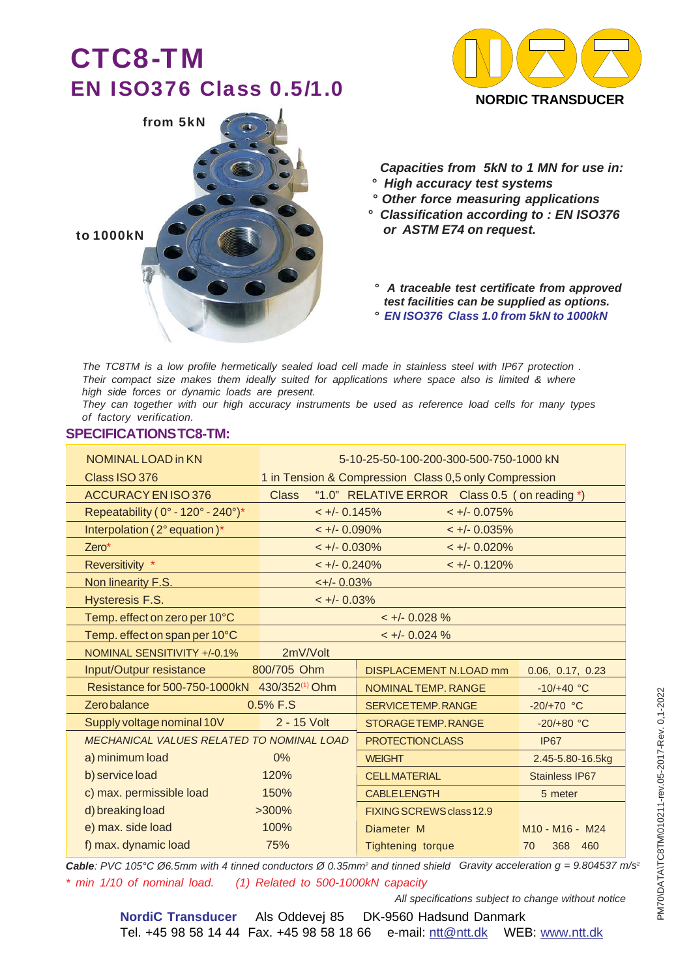# CTC8-TM EN ISO376 Class 0.5/1.0





 *Capacities from 5kN to 1 MN for use in:*

- *° High accuracy test systems*
- *° Other force measuring applications*
- *° Classification according to : EN ISO376 or ASTM E74 on request.*

*° A traceable test certificate from approved test facilities can be supplied as options. ° EN ISO376 Class 1.0 from 5kN to 1000kN*

*The TC8TM is a low profile hermetically sealed load cell made in stainless steel with IP67 protection . Their compact size makes them ideally suited for applications where space also is limited & where high side forces or dynamic loads are present.*

*They can together with our high accuracy instruments be used as reference load cells for many types of factory verification.*

#### **SPECIFICATIONS TC8-TM:**

| NOMINAL LOAD in KN                                       | 5-10-25-50-100-200-300-500-750-1000 kN                        |                          |                                                     |  |  |  |  |
|----------------------------------------------------------|---------------------------------------------------------------|--------------------------|-----------------------------------------------------|--|--|--|--|
| Class ISO 376                                            | 1 in Tension & Compression Class 0,5 only Compression         |                          |                                                     |  |  |  |  |
| ACCURACY EN ISO 376                                      | "1.0" RELATIVE ERROR Class 0.5 (on reading *)<br><b>Class</b> |                          |                                                     |  |  |  |  |
| Repeatability ( 0° - 120° - 240°)*                       | $< +/- 0.145%$                                                | $< +/- 0.075%$           |                                                     |  |  |  |  |
| Interpolation (2° equation)*                             | $\lt +/- 0.090\%$                                             | $< +/- 0.035\%$          |                                                     |  |  |  |  |
| $Zero*$                                                  | $\lt +/- 0.030\%$                                             | $< +/- 0.020%$           |                                                     |  |  |  |  |
| Reversitivity *                                          | $< +/- 0.240\%$                                               | $< +/- 0.120%$           |                                                     |  |  |  |  |
| Non linearity F.S.                                       | $\leftarrow +/- 0.03\%$                                       |                          |                                                     |  |  |  |  |
| Hysteresis F.S.                                          | $< +/- 0.03%$                                                 |                          |                                                     |  |  |  |  |
| Temp. effect on zero per 10°C                            |                                                               | $< +/- 0.028 \%$         |                                                     |  |  |  |  |
| Temp. effect on span per 10°C                            |                                                               | $< +/- 0.024$ %          |                                                     |  |  |  |  |
| NOMINAL SENSITIVITY +/-0.1%                              | 2mV/Volt                                                      |                          |                                                     |  |  |  |  |
| Input/Outpur resistance                                  | 800/705 Ohm                                                   | DISPLACEMENT N.LOAD mm   | 0.06, 0.17, 0.23                                    |  |  |  |  |
| Resistance for 500-750-1000kN 430/352 <sup>(1)</sup> Ohm |                                                               | NOMINAL TEMP, RANGE      | $-10/+40 °C$                                        |  |  |  |  |
| <b>Zerobalance</b>                                       | 0.5% F.S                                                      | SERVICE TEMP, RANGE      | $-20/+70 °C$                                        |  |  |  |  |
| Supply voltage nominal 10V                               | 2 - 15 Volt                                                   | STORAGE TEMP, RANGE      | $-20/+80$ °C                                        |  |  |  |  |
| MECHANICAL VALUES RELATED TO NOMINAL LOAD                |                                                               | <b>PROTECTIONCLASS</b>   | <b>IP67</b>                                         |  |  |  |  |
| a) minimum load                                          | 0%                                                            | <b>WEIGHT</b>            | 2.45-5.80-16.5kg                                    |  |  |  |  |
| b) service load                                          | 120%                                                          | <b>CELLMATERIAL</b>      | Stainless IP67                                      |  |  |  |  |
| c) max. permissible load                                 | 150%                                                          | <b>CABLELENGTH</b>       | 5 meter                                             |  |  |  |  |
| d) breaking load                                         | $>300\%$                                                      | FIXING SCREWS class 12.9 |                                                     |  |  |  |  |
| e) max. side load                                        | 100%                                                          | Diameter M               | M <sub>10</sub> - M <sub>16</sub> - M <sub>24</sub> |  |  |  |  |
| f) max. dynamic load                                     | 75%                                                           | <b>Tightening torque</b> | 70<br>368 460                                       |  |  |  |  |

*Gravity acceleration g = 9.804537 m/s*<sup>2</sup> *Cable: PVC 105°C Ø6.5mm with 4 tinned conductors Ø 0.35mm2 and tinned shield \* min 1/10 of nominal load. (1) Related to 500-1000kN capacity*

*All specifications subject to change without notice*

PM70\DATA\TC8TM\010211-rev.05-2017-Rev. 0,1-2022

PM70\DATA\TC8TM\010211-rev.05-2017-Rev. 0,1-2022

**NordiC Transducer** Als Oddevej 85 DK-9560 Hadsund Danmark Tel. +45 98 58 14 44 Fax. +45 98 58 18 66 e-mail: ntt@ntt.dk WEB: www.ntt.dk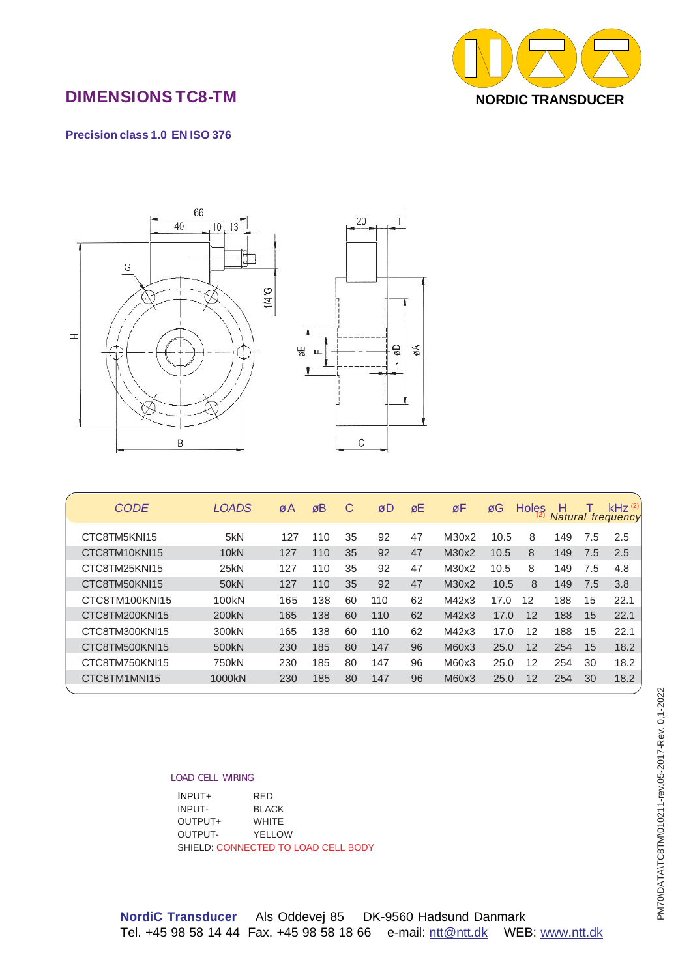

## DIMENSIONS TC8-TM

#### **Precision class 1.0 EN ISO 376**



| <b>CODE</b>    | <b>LOADS</b>       | øΑ  | øB  | C  | øD  | øE | øF    | øG   | Holes | н   |     | $kHz$ <sup>(2)</sup><br><b>Natural frequency</b> |
|----------------|--------------------|-----|-----|----|-----|----|-------|------|-------|-----|-----|--------------------------------------------------|
|                |                    |     |     |    |     |    |       |      |       |     |     |                                                  |
| CTC8TM5KNI15   | 5kN                | 127 | 110 | 35 | 92  | 47 | M30x2 | 10.5 | 8     | 149 | 7.5 | 2.5                                              |
| CTC8TM10KNI15  | 10 <sub>kN</sub>   | 127 | 110 | 35 | 92  | 47 | M30x2 | 10.5 | 8     | 149 | 7.5 | 2.5                                              |
| CTC8TM25KNI15  | 25kN               | 127 | 110 | 35 | 92  | 47 | M30x2 | 10.5 | 8     | 149 | 7.5 | 4.8                                              |
| CTC8TM50KNI15  | 50 <sub>kN</sub>   | 127 | 110 | 35 | 92  | 47 | M30x2 | 10.5 | 8     | 149 | 7.5 | 3.8                                              |
| CTC8TM100KNI15 | 100 <sub>k</sub> N | 165 | 138 | 60 | 110 | 62 | M42x3 | 17.0 | 12    | 188 | 15  | 22.1                                             |
| CTC8TM200KNI15 | 200kN              | 165 | 138 | 60 | 110 | 62 | M42x3 | 17.0 | 12    | 188 | 15  | 22.1                                             |
| CTC8TM300KNI15 | 300kN              | 165 | 138 | 60 | 110 | 62 | M42x3 | 17.0 | 12    | 188 | 15  | 22.1                                             |
| CTC8TM500KNI15 | 500 <sub>kN</sub>  | 230 | 185 | 80 | 147 | 96 | M60x3 | 25.0 | 12    | 254 | 15  | 18.2                                             |
| CTC8TM750KNI15 | 750kN              | 230 | 185 | 80 | 147 | 96 | M60x3 | 25.0 | 12    | 254 | 30  | 18.2                                             |
| CTC8TM1MNI15   | 1000kN             | 230 | 185 | 80 | 147 | 96 | M60x3 | 25.0 | 12    | 254 | 30  | 18.2                                             |
|                |                    |     |     |    |     |    |       |      |       |     |     |                                                  |

#### *LOAD CELL WIRING*

| INPUT+                              | <b>RFD</b>   |  |  |  |  |
|-------------------------------------|--------------|--|--|--|--|
| INPUT-                              | <b>BLACK</b> |  |  |  |  |
| OUTPUT+                             | <b>WHITE</b> |  |  |  |  |
| OUTPUT-                             | YFI I OW     |  |  |  |  |
| SHIELD: CONNECTED TO LOAD CELL BODY |              |  |  |  |  |